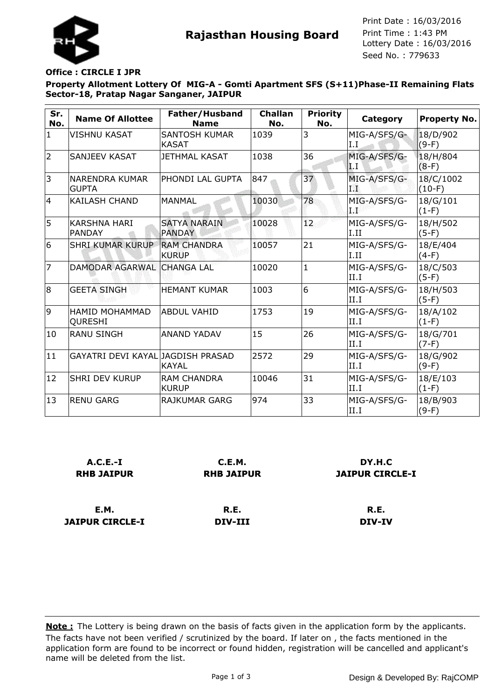

**Rajasthan Housing Board** Print Time : 1:43 PM<br>Lottery Date : 16/03/2016 Seed No. : 779633 Print Date : 16/03/2016 Print Time : 1:43 PM

## **Office : CIRCLE I JPR**

**Property Allotment Lottery Of MIG-A - Gomti Apartment SFS (S+11)Phase-II Remaining Flats Sector-18, Pratap Nagar Sanganer, JAIPUR**

| Sr.<br>No.     | <b>Name Of Allottee</b>              | Father/Husband<br><b>Name</b>        | <b>Challan</b><br>No. | <b>Priority</b><br>No. | Category             | <b>Property No.</b>   |
|----------------|--------------------------------------|--------------------------------------|-----------------------|------------------------|----------------------|-----------------------|
| $\mathbf{1}$   | VISHNU KASAT                         | <b>SANTOSH KUMAR</b><br><b>KASAT</b> | 1039                  | 3                      | MIG-A/SFS/G-<br>I.I  | 18/D/902<br>$(9-F)$   |
| $\overline{2}$ | SANJEEV KASAT                        | <b>JETHMAL KASAT</b>                 | 1038                  | 36                     | MIG-A/SFS/G-<br>1 I  | 18/H/804<br>$(8-F)$   |
| 3              | NARENDRA KUMAR<br><b>GUPTA</b>       | PHONDI LAL GUPTA                     | 847                   | 37                     | MIG-A/SFS/G-<br>1%   | 18/C/1002<br>$(10-F)$ |
| 4              | <b>KAILASH CHAND</b>                 | <b>MANMAL</b>                        | 10030                 | 78                     | MIG-A/SFS/G-<br>a S  | 18/G/101<br>$(1-F)$   |
| 5              | <b>KARSHNA HARI</b><br><b>PANDAY</b> | <b>SATYA NARAIN</b><br><b>PANDAY</b> | 10028                 | 12.                    | MIG-A/SFS/G-<br>I.II | 18/H/502<br>$(5-F)$   |
| 6              | SHRI KUMAR KURUP                     | <b>RAM CHANDRA</b><br><b>KURUP</b>   | 10057                 | 21                     | MIG-A/SFS/G-<br>I.II | 18/E/404<br>$(4-F)$   |
| $\overline{7}$ | DAMODAR AGARWAL                      | <b>CHANGA LAL</b>                    | 10020                 | $\mathbf{1}$           | MIG-A/SFS/G-<br>II.I | 18/C/503<br>$(5-F)$   |
| 8              | <b>GEETA SINGH</b>                   | <b>HEMANT KUMAR</b>                  | 1003                  | 6                      | MIG-A/SFS/G-<br>II.I | 18/H/503<br>$(5-F)$   |
| 9              | HAMID MOHAMMAD<br><b>QURESHI</b>     | lABDUL VAHID                         | 1753                  | 19                     | MIG-A/SFS/G-<br>II.I | 18/A/102<br>$(1-F)$   |
| 10             | <b>RANU SINGH</b>                    | <b>ANAND YADAV</b>                   | 15                    | 26                     | MIG-A/SFS/G-<br>II.I | 18/G/701<br>$(7-F)$   |
| 11             | GAYATRI DEVI KAYAL JAGDISH PRASAD    | <b>KAYAL</b>                         | 2572                  | 29                     | MIG-A/SFS/G-<br>II.I | 18/G/902<br>$(9-F)$   |
| 12             | <b>SHRI DEV KURUP</b>                | <b>RAM CHANDRA</b><br><b>KURUP</b>   | 10046                 | 31                     | MIG-A/SFS/G-<br>II.I | 18/E/103<br>$(1-F)$   |
| 13             | <b>RENU GARG</b>                     | <b>RAJKUMAR GARG</b>                 | 974                   | 33                     | MIG-A/SFS/G-<br>II.I | 18/B/903<br>$(9-F)$   |

| $A.C.E.-I$        | C.E.M.            | DY.H.C                 |
|-------------------|-------------------|------------------------|
| <b>RHB JAIPUR</b> | <b>RHB JAIPUR</b> | <b>JAIPUR CIRCLE-I</b> |
| <b>E.M.</b>       | R.E.              | R.E.                   |
| JAIPUR CIRCLE-I   | DIV-III           | <b>DIV-IV</b>          |

The facts have not been verified / scrutinized by the board. If later on , the facts mentioned in the application form are found to be incorrect or found hidden, registration will be cancelled and applicant's name will be deleted from the list. **Note :** The Lottery is being drawn on the basis of facts given in the application form by the applicants.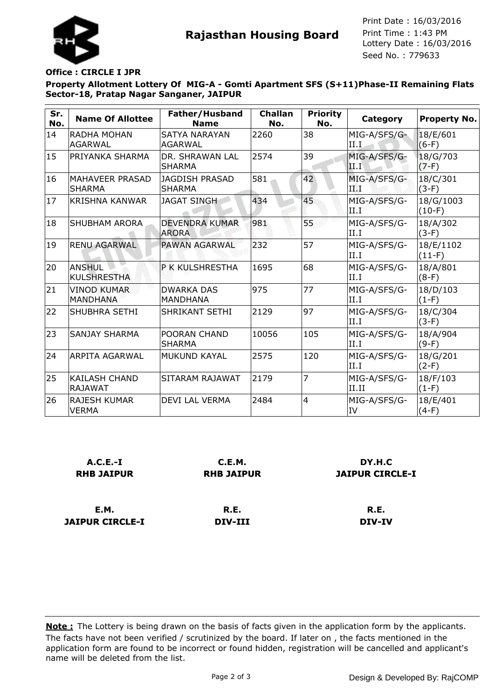



Seed No. : 779633 Print Date : 16/03/2016 Print Time : 1:43 PM

## **Office : CIRCLE I JPR**

**Property Allotment Lottery Of MIG-A - Gomti Apartment SFS (S+11)Phase-II Remaining Flats Sector-18, Pratap Nagar Sanganer, JAIPUR**

| Sr.<br>No. | <b>Name Of Allottee</b>                 | Father/Husband<br><b>Name</b>          | <b>Challan</b><br>No. | <b>Priority</b><br>No. | Category              | <b>Property No.</b>   |
|------------|-----------------------------------------|----------------------------------------|-----------------------|------------------------|-----------------------|-----------------------|
| 14         | <b>RADHA MOHAN</b><br><b>AGARWAL</b>    | <b>SATYA NARAYAN</b><br><b>AGARWAL</b> | 2260                  | 38                     | MIG-A/SFS/G-<br>II.I  | 18/E/601<br>$(6-F)$   |
| 15         | PRIYANKA SHARMA                         | DR. SHRAWAN LAL<br><b>SHARMA</b>       | 2574                  | 39                     | MIG-A/SFS/G-<br>II.I  | 18/G/703<br>$(7-F)$   |
| 16         | <b>MAHAVEER PRASAD</b><br><b>SHARMA</b> | <b>JAGDISH PRASAD</b><br><b>SHARMA</b> | 581                   | 42                     | MIG-A/SFS/G-<br>ТŴ    | 18/C/301<br>$(3-F)$   |
| 17         | <b>KRISHNA KANWAR</b>                   | <b>JAGAT SINGH</b>                     | 434                   | 45                     | MIG-A/SFS/G-<br>d Par | 18/G/1003<br>$(10-F)$ |
| 18         | <b>SHUBHAM ARORA</b>                    | <b>DEVENDRA KUMAR</b><br><b>ARORA</b>  | 981                   | 55.                    | MIG-A/SFS/G-<br>II.I  | 18/A/302<br>$(3-F)$   |
| 19         | <b>RENU AGARWAL</b>                     | <b>PAWAN AGARWAL</b>                   | 232                   | 57                     | MIG-A/SFS/G-<br>II.I  | 18/E/1102<br>$(11-F)$ |
| 20         | <b>ANSHUL</b><br><b>KULSHRESTHA</b>     | P K KULSHRESTHA                        | 1695                  | 68                     | MIG-A/SFS/G-<br>II.I  | 18/A/801<br>$(8-F)$   |
| 21         | <b>VINOD KUMAR</b><br><b>MANDHANA</b>   | <b>DWARKA DAS</b><br><b>MANDHANA</b>   | 975                   | 77                     | MIG-A/SFS/G-<br>II.I  | 18/D/103<br>$(1-F)$   |
| 22         | <b>SHUBHRA SETHI</b>                    | SHRIKANT SETHI                         | 2129                  | 97                     | MIG-A/SFS/G-<br>II.I  | 18/C/304<br>$(3-F)$   |
| 23         | <b>SANJAY SHARMA</b>                    | POORAN CHAND<br><b>SHARMA</b>          | 10056                 | 105                    | MIG-A/SFS/G-<br>II.I  | 18/A/904<br>$(9-F)$   |
| 24         | <b>ARPITA AGARWAL</b>                   | <b>MUKUND KAYAL</b>                    | 2575                  | 120                    | MIG-A/SFS/G-<br>II.I  | 18/G/201<br>$(2-F)$   |
| 25         | KAILASH CHAND<br><b>RAJAWAT</b>         | SITARAM RAJAWAT                        | 2179                  | 7                      | MIG-A/SFS/G-<br>II.II | 18/F/103<br>$(1-F)$   |
| 26         | <b>RAJESH KUMAR</b><br>VERMA            | DEVI LAL VERMA                         | 2484                  | $\overline{4}$         | MIG-A/SFS/G-<br>IV    | 18/E/401<br>$(4-F)$   |

| $A.C.E.-I$        | C.E.M.            | DY.H.C                 |
|-------------------|-------------------|------------------------|
| <b>RHB JAIPUR</b> | <b>RHB JAIPUR</b> | <b>JAIPUR CIRCLE-I</b> |
| <b>E.M.</b>       | R.E.              | R.E.                   |
| JAIPUR CIRCLE-I   | DIV-III           | <b>DIV-IV</b>          |

The facts have not been verified / scrutinized by the board. If later on , the facts mentioned in the application form are found to be incorrect or found hidden, registration will be cancelled and applicant's name will be deleted from the list. **Note :** The Lottery is being drawn on the basis of facts given in the application form by the applicants.